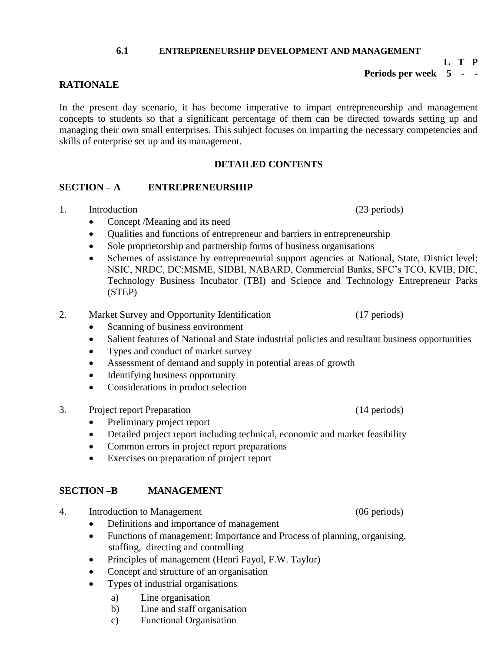#### **6.1 ENTREPRENEURSHIP DEVELOPMENT AND MANAGEMENT**

#### **L T P Periods per week 5 - -**

## **RATIONALE**

In the present day scenario, it has become imperative to impart entrepreneurship and management concepts to students so that a significant percentage of them can be directed towards setting up and managing their own small enterprises. This subject focuses on imparting the necessary competencies and skills of enterprise set up and its management.

### **DETAILED CONTENTS**

#### **SECTION – A ENTREPRENEURSHIP**

- 1. Introduction (23 periods)
	- Concept /Meaning and its need
	- Qualities and functions of entrepreneur and barriers in entrepreneurship
	- Sole proprietorship and partnership forms of business organisations
	- Schemes of assistance by entrepreneurial support agencies at National, State, District level: NSIC, NRDC, DC:MSME, SIDBI, NABARD, Commercial Banks, SFC's TCO, KVIB, DIC, Technology Business Incubator (TBI) and Science and Technology Entrepreneur Parks (STEP)
- 2. Market Survey and Opportunity Identification (17 periods)
	- Scanning of business environment
	- Salient features of National and State industrial policies and resultant business opportunities
	- Types and conduct of market survey
	- Assessment of demand and supply in potential areas of growth
	- Identifying business opportunity
	- Considerations in product selection
- 3. Project report Preparation (14 periods)
	- Preliminary project report
	- Detailed project report including technical, economic and market feasibility
	- Common errors in project report preparations
	- Exercises on preparation of project report

### **SECTION –B MANAGEMENT**

- 4. Introduction to Management (06 periods)
	- Definitions and importance of management
	- Functions of management: Importance and Process of planning, organising, staffing, directing and controlling
	- Principles of management (Henri Fayol, F.W. Taylor)
	- Concept and structure of an organisation
	- Types of industrial organisations
		- a) Line organisation
		- b) Line and staff organisation
		- c) Functional Organisation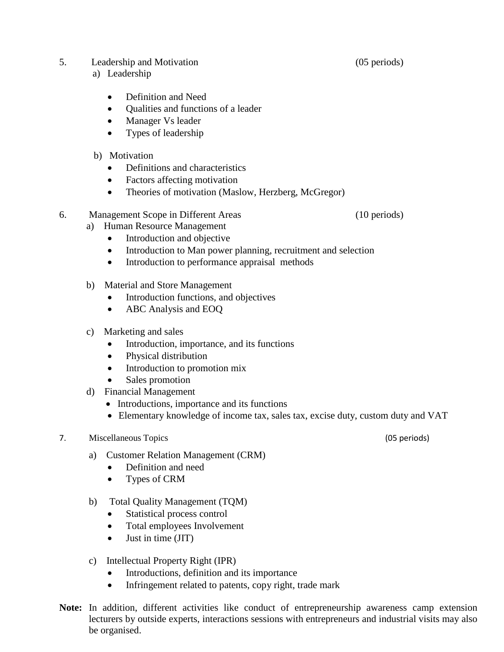- 5. Leadership and Motivation (05 periods)
	- a) Leadership
		- Definition and Need
		- Qualities and functions of a leader
		- Manager Vs leader
		- Types of leadership
	- b) Motivation
		- Definitions and characteristics
		- Factors affecting motivation
		- Theories of motivation (Maslow, Herzberg, McGregor)
- 6. Management Scope in Different Areas (10 periods)
	- a) Human Resource Management
		- Introduction and objective
		- Introduction to Man power planning, recruitment and selection
		- Introduction to performance appraisal methods
	- b) Material and Store Management
		- Introduction functions, and objectives
		- ABC Analysis and EOQ
	- c) Marketing and sales
		- Introduction, importance, and its functions
		- Physical distribution
		- Introduction to promotion mix
		- Sales promotion
	- d) Financial Management
		- Introductions, importance and its functions
		- Elementary knowledge of income tax, sales tax, excise duty, custom duty and VAT

#### 7. Miscellaneous Topics (05 periods)

- a) Customer Relation Management (CRM)
	- Definition and need
	- Types of CRM
- b) Total Quality Management (TQM)
	- Statistical process control
	- Total employees Involvement
	- Just in time (JIT)
- c) Intellectual Property Right (IPR)
	- Introductions, definition and its importance
	- Infringement related to patents, copy right, trade mark
- **Note:** In addition, different activities like conduct of entrepreneurship awareness camp extension lecturers by outside experts, interactions sessions with entrepreneurs and industrial visits may also be organised.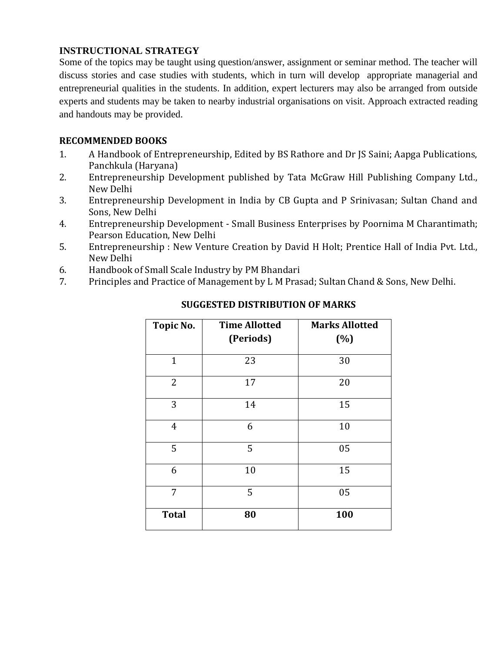## **INSTRUCTIONAL STRATEGY**

Some of the topics may be taught using question/answer, assignment or seminar method. The teacher will discuss stories and case studies with students, which in turn will develop appropriate managerial and entrepreneurial qualities in the students. In addition, expert lecturers may also be arranged from outside experts and students may be taken to nearby industrial organisations on visit. Approach extracted reading and handouts may be provided.

## **RECOMMENDED BOOKS**

- 1. A Handbook of Entrepreneurship, Edited by BS Rathore and Dr JS Saini; Aapga Publications, Panchkula (Haryana)
- 2. Entrepreneurship Development published by Tata McGraw Hill Publishing Company Ltd., New Delhi
- 3. Entrepreneurship Development in India by CB Gupta and P Srinivasan; Sultan Chand and Sons, New Delhi
- 4. Entrepreneurship Development Small Business Enterprises by Poornima M Charantimath; Pearson Education, New Delhi
- 5. Entrepreneurship : New Venture Creation by David H Holt; Prentice Hall of India Pvt. Ltd., New Delhi
- 6. Handbook of Small Scale Industry by PM Bhandari
- 7. Principles and Practice of Management by L M Prasad; Sultan Chand & Sons, New Delhi.

| Topic No.      | <b>Time Allotted</b><br>(Periods) | <b>Marks Allotted</b><br>(%) |
|----------------|-----------------------------------|------------------------------|
|                |                                   |                              |
| $\mathbf{1}$   | 23                                | 30                           |
| 2              | 17                                | 20                           |
| 3              | 14                                | 15                           |
| $\overline{4}$ | 6                                 | 10                           |
| 5              | 5                                 | 05                           |
| 6              | 10                                |                              |
| 7              | 5<br>05                           |                              |
| <b>Total</b>   | 80                                | 100                          |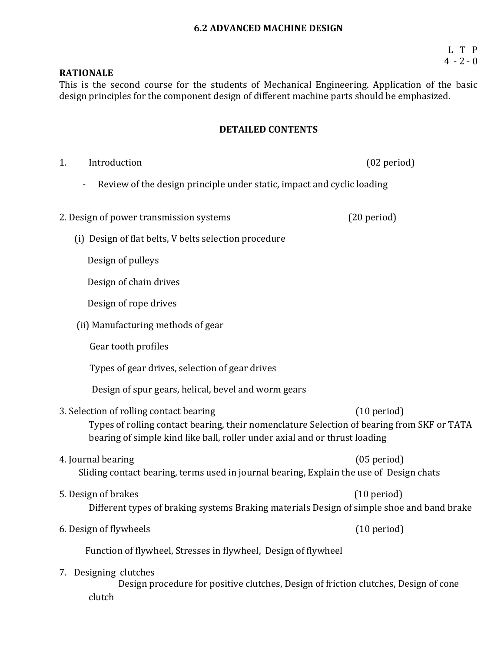#### **6.2 ADVANCED MACHINE DESIGN**

### **RATIONALE**

This is the second course for the students of Mechanical Engineering. Application of the basic design principles for the component design of different machine parts should be emphasized.

#### **DETAILED CONTENTS**

1. Introduction (02 period) - Review of the design principle under static, impact and cyclic loading 2. Design of power transmission systems (20 period) (i) Design of flat belts, V belts selection procedure Design of pulleys Design of chain drives Design of rope drives (ii) Manufacturing methods of gear Gear tooth profiles Types of gear drives, selection of gear drives Design of spur gears, helical, bevel and worm gears 3. Selection of rolling contact bearing (10 period) Types of rolling contact bearing, their nomenclature Selection of bearing from SKF or TATA bearing of simple kind like ball, roller under axial and or thrust loading 4. Journal bearing (05 period) Sliding contact bearing, terms used in journal bearing, Explain the use of Design chats 5. Design of brakes (10 period) Different types of braking systems Braking materials Design of simple shoe and band brake 6. Design of flywheels (10 period) Function of flywheel, Stresses in flywheel, Design of flywheel 7. Designing clutches Design procedure for positive clutches, Design of friction clutches, Design of cone clutch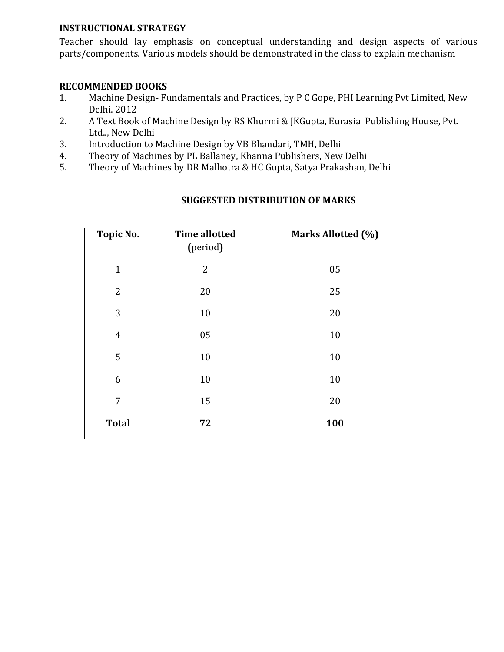## **INSTRUCTIONAL STRATEGY**

Teacher should lay emphasis on conceptual understanding and design aspects of various parts/components. Various models should be demonstrated in the class to explain mechanism

### **RECOMMENDED BOOKS**

- 1. Machine Design- Fundamentals and Practices, by P C Gope, PHI Learning Pvt Limited, New Delhi. 2012
- 2. A Text Book of Machine Design by RS Khurmi & JKGupta, Eurasia Publishing House, Pvt. Ltd.., New Delhi
- 3. Introduction to Machine Design by VB Bhandari, TMH, Delhi
- 4. Theory of Machines by PL Ballaney, Khanna Publishers, New Delhi
- 5. Theory of Machines by DR Malhotra & HC Gupta, Satya Prakashan, Delhi

### **Topic No. Time allotted The Co Marks Allotted (%)**

| <b>TOPIC NO.</b> | Thile allotted<br>(period) | Marks Allotted (%) |
|------------------|----------------------------|--------------------|
| $\mathbf{1}$     | $\overline{2}$             | 05                 |
| $\overline{2}$   | 20                         | 25                 |
| 3                | 10                         | 20                 |
| $\overline{4}$   | 05                         | $10\,$             |
| 5                | 10                         | 10                 |
| 6                | 10                         | 10                 |
| $\overline{7}$   | 15                         | 20                 |
| <b>Total</b>     | 72                         | 100                |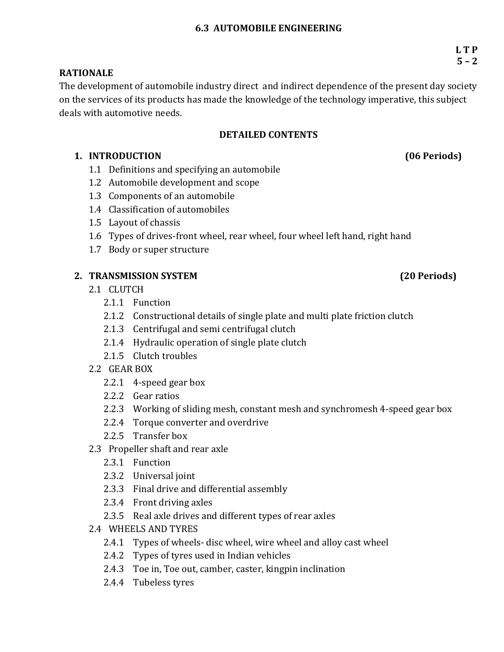### **6.3 AUTOMOBILE ENGINEERING**

## **RATIONALE**

The development of automobile industry direct and indirect dependence of the present day society on the services of its products has made the knowledge of the technology imperative, this subject deals with automotive needs.

## **DETAILED CONTENTS**

## **1. INTRODUCTION (06 Periods)**

- 1.1 Definitions and specifying an automobile
- 1.2 Automobile development and scope
- 1.3 Components of an automobile
- 1.4 Classification of automobiles
- 1.5 Layout of chassis
- 1.6 Types of drives-front wheel, rear wheel, four wheel left hand, right hand
- 1.7 Body or super structure

## **2. TRANSMISSION SYSTEM (20 Periods)**

- 2.1 CLUTCH
	- 2.1.1 Function
	- 2.1.2 Constructional details of single plate and multi plate friction clutch
	- 2.1.3 Centrifugal and semi centrifugal clutch
	- 2.1.4 Hydraulic operation of single plate clutch
	- 2.1.5 Clutch troubles
- 2.2 GEAR BOX
	- 2.2.1 4-speed gear box
	- 2.2.2 Gear ratios
	- 2.2.3 Working of sliding mesh, constant mesh and synchromesh 4-speed gear box
	- 2.2.4 Torque converter and overdrive
	- 2.2.5 Transfer box
- 2.3 Propeller shaft and rear axle
	- 2.3.1 Function
	- 2.3.2 Universal joint
	- 2.3.3 Final drive and differential assembly
	- 2.3.4 Front driving axles
	- 2.3.5 Real axle drives and different types of rear axles
- 2.4 WHEELS AND TYRES
	- 2.4.1 Types of wheels- disc wheel, wire wheel and alloy cast wheel
	- 2.4.2 Types of tyres used in Indian vehicles
	- 2.4.3 Toe in, Toe out, camber, caster, kingpin inclination
	- 2.4.4 Tubeless tyres

 **L T P**  $5 - 2$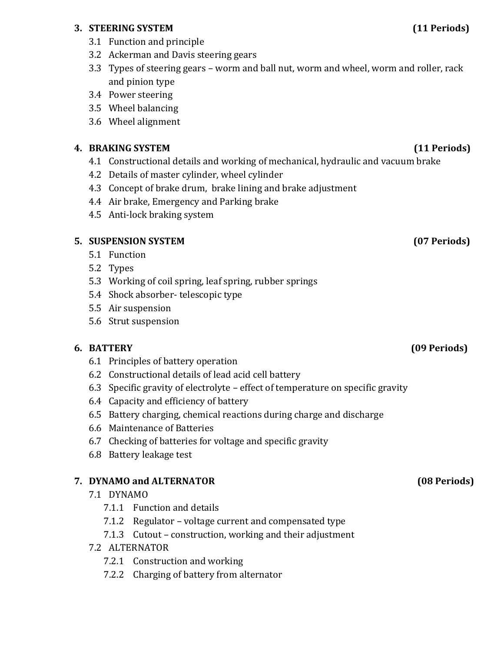## **3. STEERING SYSTEM (11 Periods)**

- 3.1 Function and principle
- 3.2 Ackerman and Davis steering gears
- 3.3 Types of steering gears worm and ball nut, worm and wheel, worm and roller, rack and pinion type
- 3.4 Power steering
- 3.5 Wheel balancing
- 3.6 Wheel alignment

## **4. BRAKING SYSTEM (11 Periods)**

- 4.1 Constructional details and working of mechanical, hydraulic and vacuum brake
- 4.2 Details of master cylinder, wheel cylinder
- 4.3 Concept of brake drum, brake lining and brake adjustment
- 4.4 Air brake, Emergency and Parking brake
- 4.5 Anti-lock braking system

# **5. SUSPENSION SYSTEM (07 Periods)**

- 5.1 Function
- 5.2 Types
- 5.3 Working of coil spring, leaf spring, rubber springs
- 5.4 Shock absorber- telescopic type
- 5.5 Air suspension
- 5.6 Strut suspension

# **6. BATTERY (09 Periods)**

- 6.1 Principles of battery operation
- 6.2 Constructional details of lead acid cell battery
- 6.3 Specific gravity of electrolyte effect of temperature on specific gravity
- 6.4 Capacity and efficiency of battery
- 6.5 Battery charging, chemical reactions during charge and discharge
- 6.6 Maintenance of Batteries
- 6.7 Checking of batteries for voltage and specific gravity
- 6.8 Battery leakage test

# **7. DYNAMO and ALTERNATOR (08 Periods)**

# 7.1 DYNAMO

- 7.1.1 Function and details
- 7.1.2 Regulator voltage current and compensated type
- 7.1.3 Cutout construction, working and their adjustment

# 7.2 ALTERNATOR

- 7.2.1 Construction and working
- 7.2.2 Charging of battery from alternator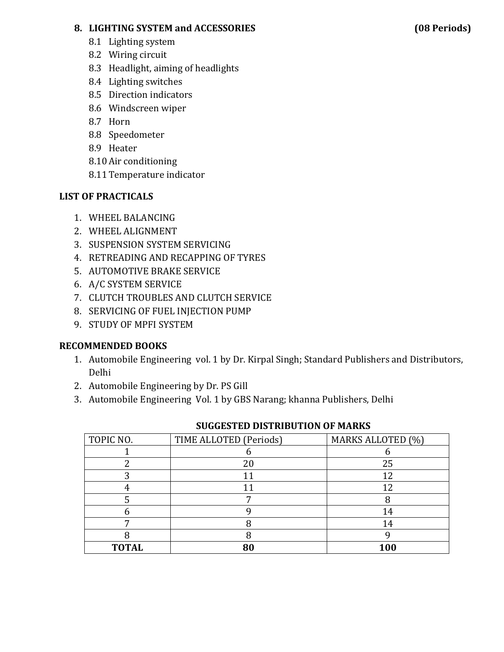## **8. LIGHTING SYSTEM and ACCESSORIES (08 Periods)**

- 8.1 Lighting system
- 8.2 Wiring circuit
- 8.3 Headlight, aiming of headlights
- 8.4 Lighting switches
- 8.5 Direction indicators
- 8.6 Windscreen wiper
- 8.7 Horn
- 8.8 Speedometer
- 8.9 Heater
- 8.10Air conditioning
- 8.11Temperature indicator

## **LIST OF PRACTICALS**

- 1. WHEEL BALANCING
- 2. WHEEL ALIGNMENT
- 3. SUSPENSION SYSTEM SERVICING
- 4. RETREADING AND RECAPPING OF TYRES
- 5. AUTOMOTIVE BRAKE SERVICE
- 6. A/C SYSTEM SERVICE
- 7. CLUTCH TROUBLES AND CLUTCH SERVICE
- 8. SERVICING OF FUEL INJECTION PUMP
- 9. STUDY OF MPFI SYSTEM

## **RECOMMENDED BOOKS**

- 1. Automobile Engineering vol. 1 by Dr. Kirpal Singh; Standard Publishers and Distributors, Delhi
- 2. Automobile Engineering by Dr. PS Gill
- 3. Automobile Engineering Vol. 1 by GBS Narang; khanna Publishers, Delhi

| TOPIC NO.    | TIME ALLOTED (Periods) | MARKS ALLOTED (%) |
|--------------|------------------------|-------------------|
|              |                        |                   |
|              | 20                     | 25                |
|              |                        |                   |
|              |                        |                   |
|              |                        |                   |
|              |                        | l 4               |
|              |                        | 14                |
|              |                        |                   |
| <b>TOTAL</b> |                        | 100               |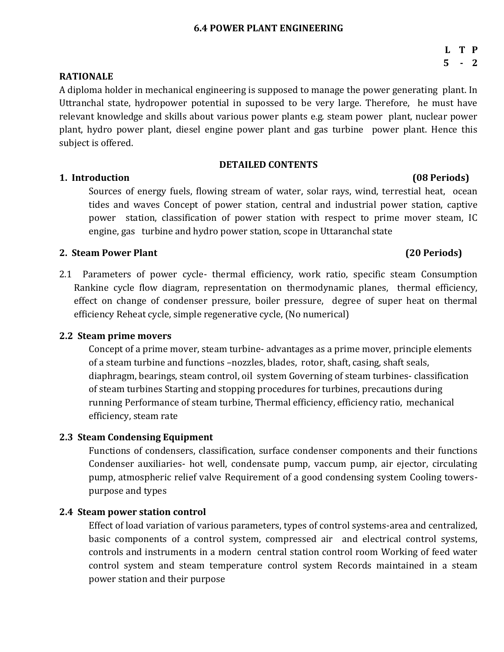### **6.4 POWER PLANT ENGINEERING**

#### **RATIONALE**

A diploma holder in mechanical engineering is supposed to manage the power generating plant. In Uttranchal state, hydropower potential in supossed to be very large. Therefore, he must have relevant knowledge and skills about various power plants e.g. steam power plant, nuclear power plant, hydro power plant, diesel engine power plant and gas turbine power plant. Hence this subject is offered.

#### **DETAILED CONTENTS**

### **1. Introduction (08 Periods)**

Sources of energy fuels, flowing stream of water, solar rays, wind, terrestial heat, ocean tides and waves Concept of power station, central and industrial power station, captive power station, classification of power station with respect to prime mover steam, IC engine, gas turbine and hydro power station, scope in Uttaranchal state

#### **2. Steam Power Plant (20 Periods)**

2.1 Parameters of power cycle- thermal efficiency, work ratio, specific steam Consumption Rankine cycle flow diagram, representation on thermodynamic planes, thermal efficiency, effect on change of condenser pressure, boiler pressure, degree of super heat on thermal efficiency Reheat cycle, simple regenerative cycle, (No numerical)

### **2.2 Steam prime movers**

Concept of a prime mover, steam turbine- advantages as a prime mover, principle elements of a steam turbine and functions –nozzles, blades, rotor, shaft, casing, shaft seals, diaphragm, bearings, steam control, oil system Governing of steam turbines- classification of steam turbines Starting and stopping procedures for turbines, precautions during running Performance of steam turbine, Thermal efficiency, efficiency ratio, mechanical efficiency, steam rate

### **2.3 Steam Condensing Equipment**

Functions of condensers, classification, surface condenser components and their functions Condenser auxiliaries- hot well, condensate pump, vaccum pump, air ejector, circulating pump, atmospheric relief valve Requirement of a good condensing system Cooling towerspurpose and types

### **2.4 Steam power station control**

Effect of load variation of various parameters, types of control systems-area and centralized, basic components of a control system, compressed air and electrical control systems, controls and instruments in a modern central station control room Working of feed water control system and steam temperature control system Records maintained in a steam power station and their purpose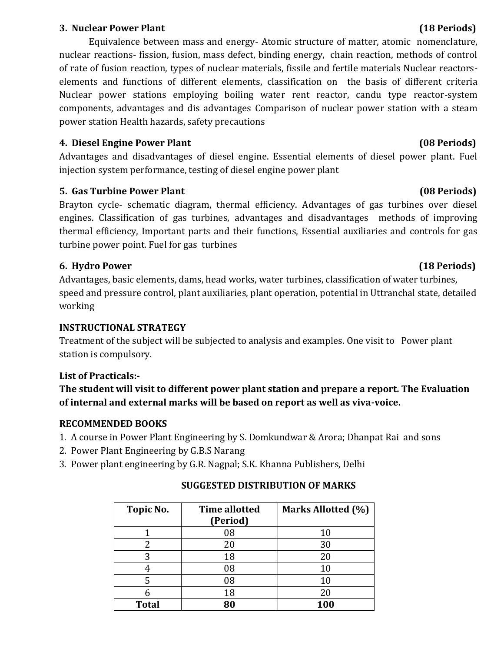### **3. Nuclear Power Plant (18 Periods)**

Equivalence between mass and energy- Atomic structure of matter, atomic nomenclature, nuclear reactions- fission, fusion, mass defect, binding energy, chain reaction, methods of control of rate of fusion reaction, types of nuclear materials, fissile and fertile materials Nuclear reactorselements and functions of different elements, classification on the basis of different criteria Nuclear power stations employing boiling water rent reactor, candu type reactor-system components, advantages and dis advantages Comparison of nuclear power station with a steam power station Health hazards, safety precautions

# **4. Diesel Engine Power Plant (08 Periods)**

Advantages and disadvantages of diesel engine. Essential elements of diesel power plant. Fuel injection system performance, testing of diesel engine power plant

# **5. Gas Turbine Power Plant (08 Periods)**

Brayton cycle- schematic diagram, thermal efficiency. Advantages of gas turbines over diesel engines. Classification of gas turbines, advantages and disadvantages methods of improving thermal efficiency, Important parts and their functions, Essential auxiliaries and controls for gas turbine power point. Fuel for gas turbines

# **6. Hydro Power (18 Periods)**

Advantages, basic elements, dams, head works, water turbines, classification of water turbines, speed and pressure control, plant auxiliaries, plant operation, potential in Uttranchal state, detailed working

# **INSTRUCTIONAL STRATEGY**

Treatment of the subject will be subjected to analysis and examples. One visit to Power plant station is compulsory.

# **List of Practicals:-**

# **The student will visit to different power plant station and prepare a report. The Evaluation of internal and external marks will be based on report as well as viva-voice.**

# **RECOMMENDED BOOKS**

- 1. A course in Power Plant Engineering by S. Domkundwar & Arora; Dhanpat Rai and sons
- 2. Power Plant Engineering by G.B.S Narang
- 3. Power plant engineering by G.R. Nagpal; S.K. Khanna Publishers, Delhi

| Topic No.    | <b>Time allotted</b><br>(Period) | Marks Allotted (%) |
|--------------|----------------------------------|--------------------|
|              | 08                               |                    |
|              |                                  | 10                 |
|              | 20                               | 30                 |
| 3            | 18                               | 20                 |
|              | 08                               | 10                 |
|              | 08                               | 10                 |
|              | 18                               | 20                 |
| <b>Total</b> |                                  | 100                |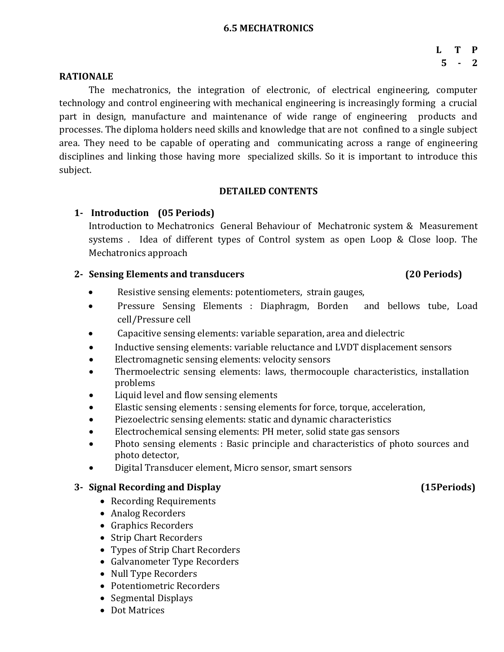#### **6.5 MECHATRONICS**

## **L T P 5 - 2**

#### **RATIONALE**

The mechatronics, the integration of electronic, of electrical engineering, computer technology and control engineering with mechanical engineering is increasingly forming a crucial part in design, manufacture and maintenance of wide range of engineering products and processes. The diploma holders need skills and knowledge that are not confined to a single subject area. They need to be capable of operating and communicating across a range of engineering disciplines and linking those having more specialized skills. So it is important to introduce this subject.

### **DETAILED CONTENTS**

## **1- Introduction (05 Periods)**

Introduction to Mechatronics General Behaviour of Mechatronic system & Measurement systems . Idea of different types of Control system as open Loop & Close loop. The Mechatronics approach

## **2- Sensing Elements and transducers (20 Periods)**

- Resistive sensing elements: potentiometers, strain gauges,
- Pressure Sensing Elements : Diaphragm, Borden and bellows tube, Load cell/Pressure cell
- Capacitive sensing elements: variable separation, area and dielectric
- Inductive sensing elements: variable reluctance and LVDT displacement sensors
- Electromagnetic sensing elements: velocity sensors
- Thermoelectric sensing elements: laws, thermocouple characteristics, installation problems
- Liquid level and flow sensing elements
- Elastic sensing elements : sensing elements for force, torque, acceleration,
- Piezoelectric sensing elements: static and dynamic characteristics
- Electrochemical sensing elements: PH meter, solid state gas sensors
- Photo sensing elements : Basic principle and characteristics of photo sources and photo detector,
- Digital Transducer element, Micro sensor, smart sensors

## **3- Signal Recording and Display (15Periods)**

- Recording Requirements
- Analog Recorders
- Graphics Recorders
- Strip Chart Recorders
- Types of Strip Chart Recorders
- Galvanometer Type Recorders
- Null Type Recorders
- Potentiometric Recorders
- Segmental Displays
- Dot Matrices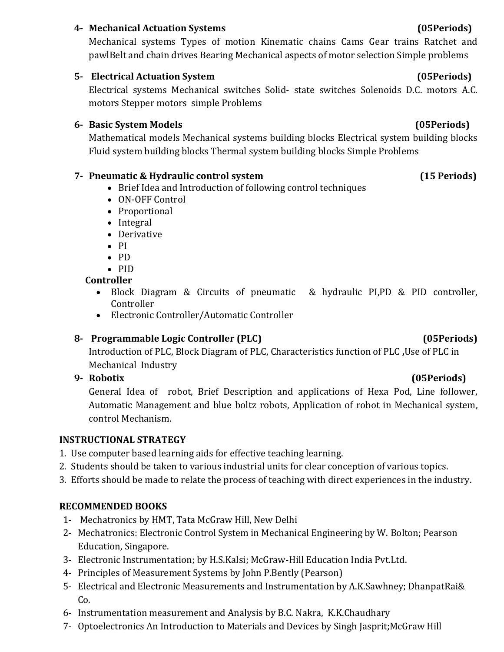## **4- Mechanical Actuation Systems (05Periods)**

Mechanical systems Types of motion Kinematic chains Cams Gear trains Ratchet and pawlBelt and chain drives Bearing Mechanical aspects of motor selection Simple problems

## **5- Electrical Actuation System (05Periods)**

Electrical systems Mechanical switches Solid- state switches Solenoids D.C. motors A.C. motors Stepper motors simple Problems

## **6- Basic System Models (05Periods)**

Mathematical models Mechanical systems building blocks Electrical system building blocks Fluid system building blocks Thermal system building blocks Simple Problems

## **7- Pneumatic & Hydraulic control system (15 Periods)**

- Brief Idea and Introduction of following control techniques
- ON-OFF Control
- Proportional
- Integral
- Derivative
- $\bullet$  PI
- PD
- $\bullet$  PID

## **Controller**

- Block Diagram & Circuits of pneumatic & hydraulic PI,PD & PID controller, Controller
- Electronic Controller/Automatic Controller

# **8- Programmable Logic Controller (PLC) (05Periods)**

# Introduction of PLC, Block Diagram of PLC, Characteristics function of PLC **,**Use of PLC in Mechanical Industry

# **9- Robotix (05Periods)**

General Idea of robot, Brief Description and applications of Hexa Pod, Line follower, Automatic Management and blue boltz robots, Application of robot in Mechanical system, control Mechanism.

## **INSTRUCTIONAL STRATEGY**

- 1. Use computer based learning aids for effective teaching learning.
- 2. Students should be taken to various industrial units for clear conception of various topics.
- 3. Efforts should be made to relate the process of teaching with direct experiences in the industry.

## **RECOMMENDED BOOKS**

- 1- Mechatronics by HMT, Tata McGraw Hill, New Delhi
- 2- Mechatronics: Electronic Control System in Mechanical Engineering by W. Bolton; Pearson Education, Singapore.
- 3- Electronic Instrumentation; by H.S.Kalsi; McGraw-Hill Education India Pvt.Ltd.
- 4- Principles of Measurement Systems by John P.Bently (Pearson)
- 5- Electrical and Electronic Measurements and Instrumentation by A.K.Sawhney; DhanpatRai& Co.
- 6- Instrumentation measurement and Analysis by B.C. Nakra, K.K.Chaudhary
- 7- Optoelectronics An Introduction to Materials and Devices by Singh Jasprit;McGraw Hill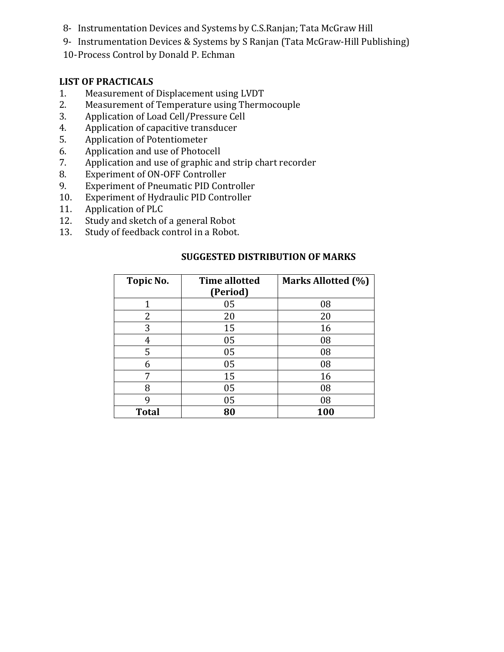- 8- Instrumentation Devices and Systems by C.S.Ranjan; Tata McGraw Hill
- 9- Instrumentation Devices & Systems by S Ranjan (Tata McGraw-Hill Publishing)
- 10-Process Control by Donald P. Echman

## **LIST OF PRACTICALS**

- 1. Measurement of Displacement using LVDT
- 2. Measurement of Temperature using Thermocouple
- 3. Application of Load Cell/Pressure Cell
- 4. Application of capacitive transducer
- 5. Application of Potentiometer
- 6. Application and use of Photocell
- 7. Application and use of graphic and strip chart recorder
- 8. Experiment of ON-OFF Controller
- 9. Experiment of Pneumatic PID Controller
- 10. Experiment of Hydraulic PID Controller
- 11. Application of PLC
- 12. Study and sketch of a general Robot
- 13. Study of feedback control in a Robot.

| Topic No.    | <b>Time allotted</b> | Marks Allotted (%) |
|--------------|----------------------|--------------------|
|              | (Period)             |                    |
| 1            | 05                   | 08                 |
| 2            | 20                   | 20                 |
| 3            | 15                   | 16                 |
| 4            | 05                   | 08                 |
| 5            | 05                   | 08                 |
| 6            | 05                   | 08                 |
| 7            | 15                   | 16                 |
| 8            | 05                   | 08                 |
| 9            | 05                   | 08                 |
| <b>Total</b> | 80                   | 100                |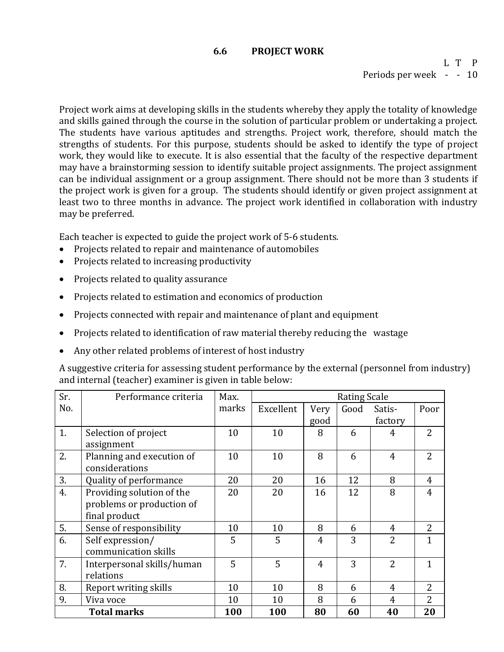#### **6.6 PROJECT WORK**

L T P Periods per week - - 10

Project work aims at developing skills in the students whereby they apply the totality of knowledge and skills gained through the course in the solution of particular problem or undertaking a project. The students have various aptitudes and strengths. Project work, therefore, should match the strengths of students. For this purpose, students should be asked to identify the type of project work, they would like to execute. It is also essential that the faculty of the respective department may have a brainstorming session to identify suitable project assignments. The project assignment can be individual assignment or a group assignment. There should not be more than 3 students if the project work is given for a group. The students should identify or given project assignment at least two to three months in advance. The project work identified in collaboration with industry may be preferred.

Each teacher is expected to guide the project work of 5-6 students.

- Projects related to repair and maintenance of automobiles
- Projects related to increasing productivity
- Projects related to quality assurance
- Projects related to estimation and economics of production
- Projects connected with repair and maintenance of plant and equipment
- Projects related to identification of raw material thereby reducing the wastage
- Any other related problems of interest of host industry

A suggestive criteria for assessing student performance by the external (personnel from industry) and internal (teacher) examiner is given in table below:

| Sr.                | Performance criteria       | Max.  | <b>Rating Scale</b> |                |      |                |                |
|--------------------|----------------------------|-------|---------------------|----------------|------|----------------|----------------|
| No.                |                            | marks | Excellent           | Very           | Good | Satis-         | Poor           |
|                    |                            |       |                     | good           |      | factory        |                |
| 1.                 | Selection of project       | 10    | 10                  | 8              | 6    | 4              | $\overline{2}$ |
|                    | assignment                 |       |                     |                |      |                |                |
| 2.                 | Planning and execution of  | 10    | 10                  | 8              | 6    | $\overline{4}$ | $\overline{2}$ |
|                    | considerations             |       |                     |                |      |                |                |
| 3.                 | Quality of performance     | 20    | 20                  | 16             | 12   | 8              | $\overline{4}$ |
| 4.                 | Providing solution of the  | 20    | 20                  | 16             | 12   | 8              | $\overline{4}$ |
|                    | problems or production of  |       |                     |                |      |                |                |
|                    | final product              |       |                     |                |      |                |                |
| 5.                 | Sense of responsibility    | 10    | 10                  | 8              | 6    | $\overline{4}$ | $\overline{2}$ |
| 6.                 | Self expression/           | 5     | 5                   | 4              | 3    | $\overline{2}$ | $\mathbf{1}$   |
|                    | communication skills       |       |                     |                |      |                |                |
| 7.                 | Interpersonal skills/human | 5     | 5                   | $\overline{4}$ | 3    | $\overline{2}$ | $\mathbf{1}$   |
|                    | relations                  |       |                     |                |      |                |                |
| 8.                 | Report writing skills      | 10    | 10                  | 8              | 6    | $\overline{4}$ | $\overline{2}$ |
| 9.                 | Viva voce                  | 10    | 10                  | 8              | 6    | $\overline{4}$ | $\overline{2}$ |
| <b>Total marks</b> |                            | 100   | 100                 | 80             | 60   | 40             | 20             |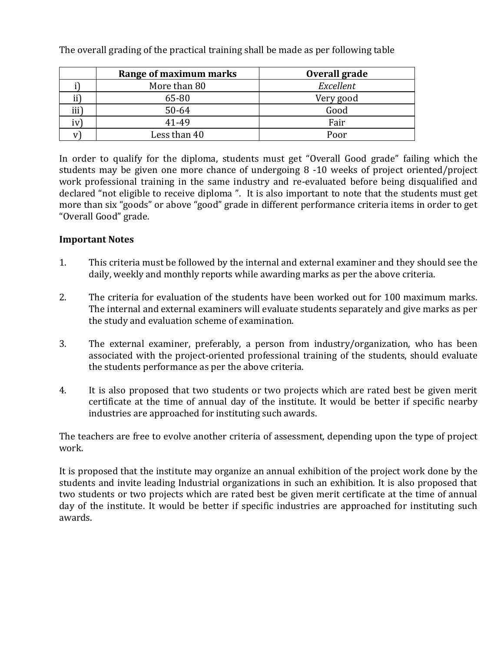|          | Range of maximum marks | Overall grade |
|----------|------------------------|---------------|
|          | More than 80           | Excellent     |
| $\rm ii$ | 65-80                  | Very good     |
| iii)     | 50-64                  | Good          |
| iv)      | 41-49                  | Fair          |
|          | Less than 40           | Poor          |

The overall grading of the practical training shall be made as per following table

In order to qualify for the diploma, students must get "Overall Good grade" failing which the students may be given one more chance of undergoing 8 -10 weeks of project oriented/project work professional training in the same industry and re-evaluated before being disqualified and declared "not eligible to receive diploma ". It is also important to note that the students must get more than six "goods" or above "good" grade in different performance criteria items in order to get "Overall Good" grade.

## **Important Notes**

- 1. This criteria must be followed by the internal and external examiner and they should see the daily, weekly and monthly reports while awarding marks as per the above criteria.
- 2. The criteria for evaluation of the students have been worked out for 100 maximum marks. The internal and external examiners will evaluate students separately and give marks as per the study and evaluation scheme of examination.
- 3. The external examiner, preferably, a person from industry/organization, who has been associated with the project-oriented professional training of the students, should evaluate the students performance as per the above criteria.
- 4. It is also proposed that two students or two projects which are rated best be given merit certificate at the time of annual day of the institute. It would be better if specific nearby industries are approached for instituting such awards.

The teachers are free to evolve another criteria of assessment, depending upon the type of project work.

It is proposed that the institute may organize an annual exhibition of the project work done by the students and invite leading Industrial organizations in such an exhibition. It is also proposed that two students or two projects which are rated best be given merit certificate at the time of annual day of the institute. It would be better if specific industries are approached for instituting such awards.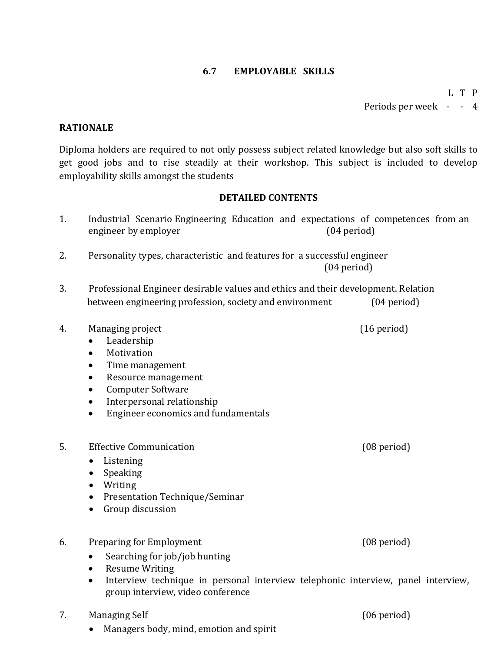### **6.7 EMPLOYABLE SKILLS**

L T P Periods per week - - 4

### **RATIONALE**

Diploma holders are required to not only possess subject related knowledge but also soft skills to get good jobs and to rise steadily at their workshop. This subject is included to develop employability skills amongst the students

#### **DETAILED CONTENTS**

- 1. Industrial Scenario Engineering Education and expectations of competences from an engineer by employer (04 period)
- 2. Personality types, characteristic and features for a successful engineer (04 period)
- 3. Professional Engineer desirable values and ethics and their development. Relation between engineering profession, society and environment (04 period)
- 4. Managing project (16 period)
	- Leadership
	- Motivation
	- Time management
	- Resource management
	- Computer Software
	- Interpersonal relationship
	- **•** Engineer economics and fundamentals
- 5. Effective Communication (08 period)
	- Listening
	- Speaking
	- Writing
	- Presentation Technique/Seminar
	- Group discussion

### 6. Preparing for Employment (08 period)

- Searching for job/job hunting
- Resume Writing
- Interview technique in personal interview telephonic interview, panel interview, group interview, video conference
- 7. Managing Self (06 period)
	- Managers body, mind, emotion and spirit